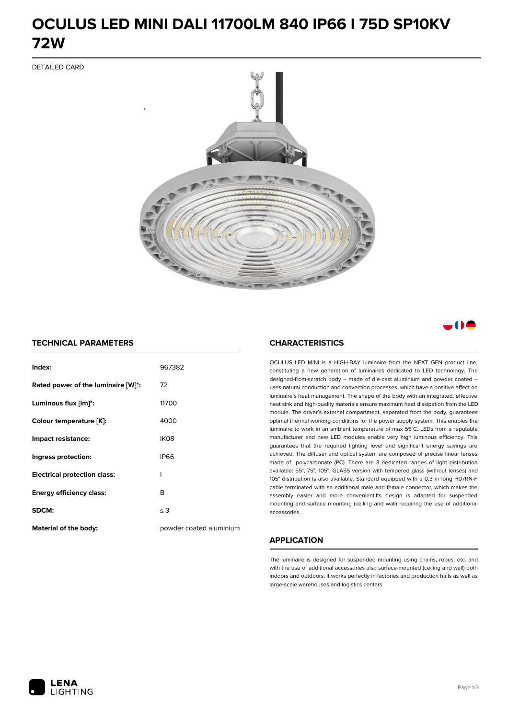# **OCULUS LED MINI DALI 11700LM 840 IP66 I 75D SP10KV 72W**

DETAILED CARD



# a M

### **TECHNICAL PARAMETERS**

| Index:                              | 967382                  |
|-------------------------------------|-------------------------|
| Rated power of the luminaire [W]*:  | 72                      |
| Luminous flux [lm]*:                | 11700                   |
| Colour temperature [K]:             | 4000                    |
| Impact resistance:                  | IK08                    |
| Ingress protection:                 | <b>IP66</b>             |
| <b>Electrical protection class:</b> | ı                       |
| <b>Energy efficiency class:</b>     | B                       |
| <b>SDCM:</b>                        | $\leq$ 3                |
| <b>Material of the body:</b>        | powder coated aluminium |

### **CHARACTERISTICS**

OCULUS LED MINI is a HIGH-BAY luminaire from the NEXT GEN product line, constituting a new generation of luminaires dedicated to LED technology. The designed-from-scratch body – made of die-cast aluminium and powder coated – uses natural conduction and convection processes, which have a positive effect on luminaire's heat management. The shape of the body with an integrated, effective heat sink and high-quality materials ensure maximum heat dissipation from the LED module. The driver's external compartment, separated from the body, guarantees optimal thermal working conditions for the power supply system. This enables the luminaire to work in an ambient temperature of max 55°C. LEDs from a reputable manufacturer and new LED modules enable very high luminous efficiency. This guarantees that the required lighting level and significant energy savings are achieved. The diffuser and optical system are composed of precise linear lenses made of polycarbonate (PC). There are 3 dedicated ranges of light distribution available: 55°, 75°, 105°. GLASS version with tempered glass (without lenses) and 105° distribution is also available. Standard equipped with a 0.3 m long H07RN-F cable terminated with an additional male and female connector, which makes the assembly easier and more convenient.Its design is adapted for suspended mounting and surface mounting (ceiling and wall) requiring the use of additional accessories.

## **APPLICATION**

The luminaire is designed for suspended mounting using chains, ropes, etc. and with the use of additional accessories also surface-mounted (ceiling and wall) both indoors and outdoors. It works perfectly in factories and production halls as well as large-scale warehouses and logistics centers.

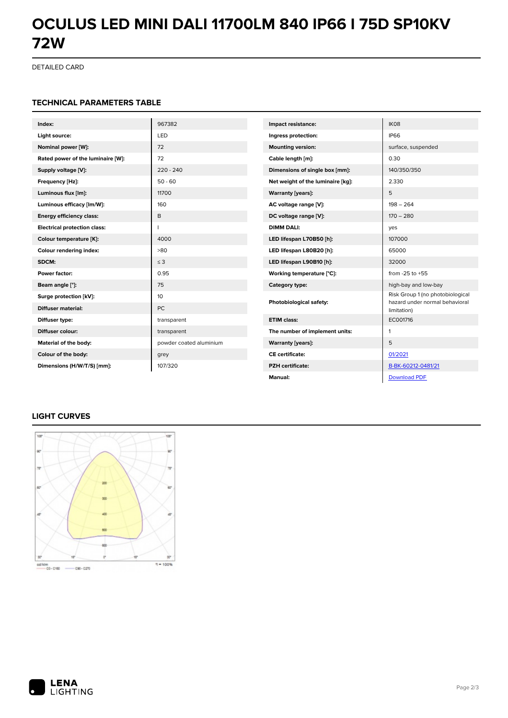# **OCULUS LED MINI DALI 11700LM 840 IP66 I 75D SP10KV 72W**

DETAILED CARD

#### **TECHNICAL PARAMETERS TABLE**

| Index:                              | 967382                  | Impact resistance:                | IK08                                                               |
|-------------------------------------|-------------------------|-----------------------------------|--------------------------------------------------------------------|
| Light source:                       | LED                     | Ingress protection:               | <b>IP66</b>                                                        |
| Nominal power [W]:                  | 72                      | <b>Mounting version:</b>          | surface, suspended                                                 |
| Rated power of the luminaire [W]:   | 72                      | Cable length [m]:                 | 0.30                                                               |
| Supply voltage [V]:                 | $220 - 240$             | Dimensions of single box [mm]:    | 140/350/350                                                        |
| Frequency [Hz]:                     | $50 - 60$               | Net weight of the luminaire [kg]: | 2.330                                                              |
| Luminous flux [lm]:                 | 11700                   | <b>Warranty [years]:</b>          | 5                                                                  |
| Luminous efficacy [lm/W]:           | 160                     | AC voltage range [V]:             | $198 - 264$                                                        |
| <b>Energy efficiency class:</b>     | B                       | DC voltage range [V]:             | $170 - 280$                                                        |
| <b>Electrical protection class:</b> |                         | <b>DIMM DALI:</b>                 | yes                                                                |
| Colour temperature [K]:             | 4000                    | LED lifespan L70B50 [h]:          | 107000                                                             |
| Colour rendering index:             | >80                     | LED lifespan L80B20 [h]:          | 65000                                                              |
| SDCM:                               | $\leq$ 3                | LED lifespan L90B10 [h]:          | 32000                                                              |
| Power factor:                       | 0.95                    | Working temperature [°C]:         | from $-25$ to $+55$                                                |
| Beam angle [°]:                     | 75                      | Category type:                    | high-bay and low-bay                                               |
| Surge protection [kV]:              | 10                      | Photobiological safety:           | Risk Group 1 (no photobiological<br>hazard under normal behavioral |
| <b>Diffuser material:</b>           | <b>PC</b>               |                                   | limitation)                                                        |
| Diffuser type:                      | transparent             | <b>ETIM class:</b>                | EC001716                                                           |
| Diffuser colour:                    | transparent             | The number of implement units:    | 1                                                                  |
| Material of the body:               | powder coated aluminium | <b>Warranty [years]:</b>          | 5                                                                  |
| Colour of the body:                 | grey                    | <b>CE</b> certificate:            | 01/2021                                                            |
| Dimensions (H/W/T/S) [mm]:          | 107/320                 | <b>PZH</b> certificate:           | B-BK-60212-0481/21                                                 |
|                                     |                         | Manual:                           | <b>Download PDF</b>                                                |

# **LIGHT CURVES**